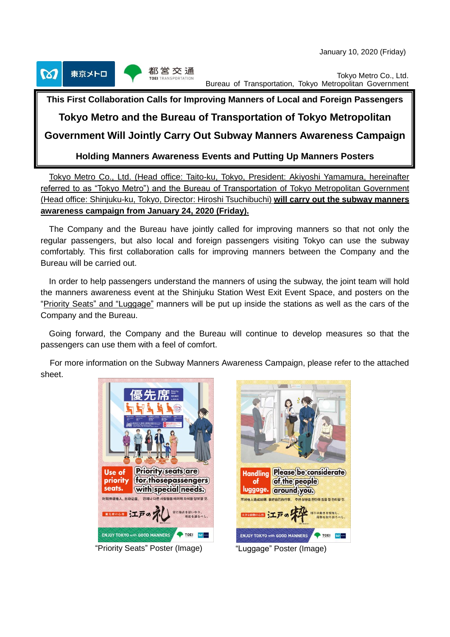January 10, 2020 (Friday)



Tokyo Metro Co., Ltd. Bureau of Transportation, Tokyo Metropolitan Government

# **This First Collaboration Calls for Improving Manners of Local and Foreign Passengers**

# **Tokyo Metro and the Bureau of Transportation of Tokyo Metropolitan**

# **Government Will Jointly Carry Out Subway Manners Awareness Campaign**

**Holding Manners Awareness Events and Putting Up Manners Posters**

Tokyo Metro Co., Ltd. (Head office: Taito-ku, Tokyo, President: Akiyoshi Yamamura, hereinafter referred to as "Tokyo Metro") and the Bureau of Transportation of Tokyo Metropolitan Government (Head office: Shinjuku-ku, Tokyo, Director: Hiroshi Tsuchibuchi) **will carry out the subway manners awareness campaign from January 24, 2020 (Friday).**

The Company and the Bureau have jointly called for improving manners so that not only the regular passengers, but also local and foreign passengers visiting Tokyo can use the subway comfortably. This first collaboration calls for improving manners between the Company and the Bureau will be carried out.

In order to help passengers understand the manners of using the subway, the joint team will hold the manners awareness event at the Shinjuku Station West Exit Event Space, and posters on the "Priority Seats" and "Luggage" manners will be put up inside the stations as well as the cars of the Company and the Bureau.

Going forward, the Company and the Bureau will continue to develop measures so that the passengers can use them with a feel of comfort.

For more information on the Subway Manners Awareness Campaign, please refer to the attached sheet.





"Priority Seats" Poster (Image) "Luggage" Poster (Image)